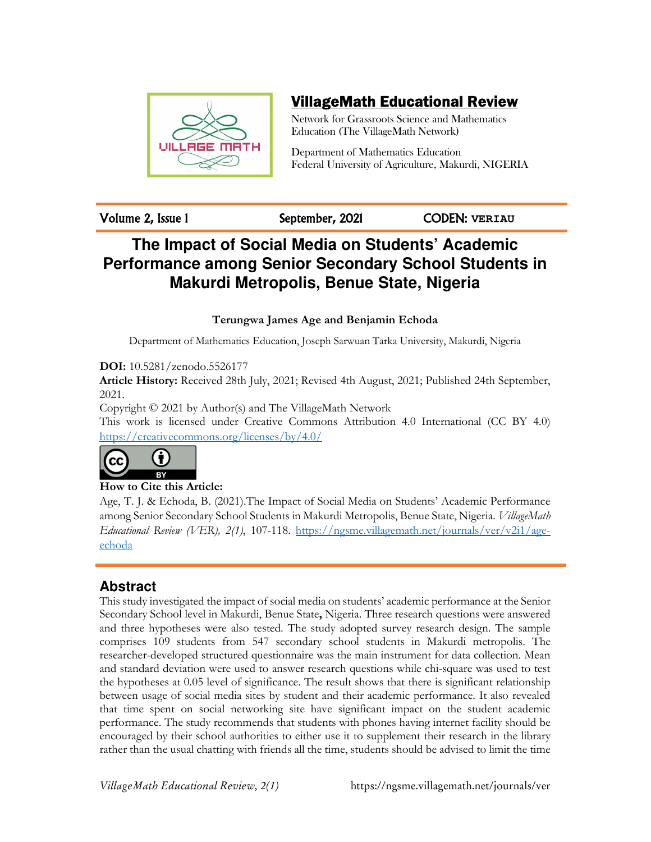

# VillageMath Educational Review

Network for Grassroots Science and Mathematics Education (The VillageMath Network)

Department of Mathematics Education Federal University of Agriculture, Makurdi, NIGERIA

Volume 2, Issue 1 September, 2021 CODEN: **VERIAU**

# **The Impact of Social Media on Students' Academic Performance among Senior Secondary School Students in Makurdi Metropolis, Benue State, Nigeria**

**Terungwa James Age and Benjamin Echoda** 

Department of Mathematics Education, Joseph Sarwuan Tarka University, Makurdi, Nigeria

**DOI:** 10.5281/zenodo.5526177

**Article History:** Received 28th July, 2021; Revised 4th August, 2021; Published 24th September, 2021.

Copyright © 2021 by Author(s) and The VillageMath Network

This work is licensed under Creative Commons Attribution 4.0 International (CC BY 4.0) https://creativecommons.org/licenses/by/4.0/



## **How to Cite this Article:**

Age, T. J. & Echoda, B. (2021).The Impact of Social Media on Students' Academic Performance among Senior Secondary School Students in Makurdi Metropolis, Benue State, Nigeria. *VillageMath Educational Review (VER), 2(1)*, 107-118. https://ngsme.villagemath.net/journals/ver/v2i1/ageechoda

## **Abstract**

This study investigated the impact of social media on students' academic performance at the Senior Secondary School level in Makurdi, Benue State**,** Nigeria. Three research questions were answered and three hypotheses were also tested. The study adopted survey research design. The sample comprises 109 students from 547 secondary school students in Makurdi metropolis. The researcher-developed structured questionnaire was the main instrument for data collection. Mean and standard deviation were used to answer research questions while chi-square was used to test the hypotheses at 0.05 level of significance. The result shows that there is significant relationship between usage of social media sites by student and their academic performance. It also revealed that time spent on social networking site have significant impact on the student academic performance. The study recommends that students with phones having internet facility should be encouraged by their school authorities to either use it to supplement their research in the library rather than the usual chatting with friends all the time, students should be advised to limit the time

*VillageMath Educational Review, 2(1)* https://ngsme.villagemath.net/journals/ver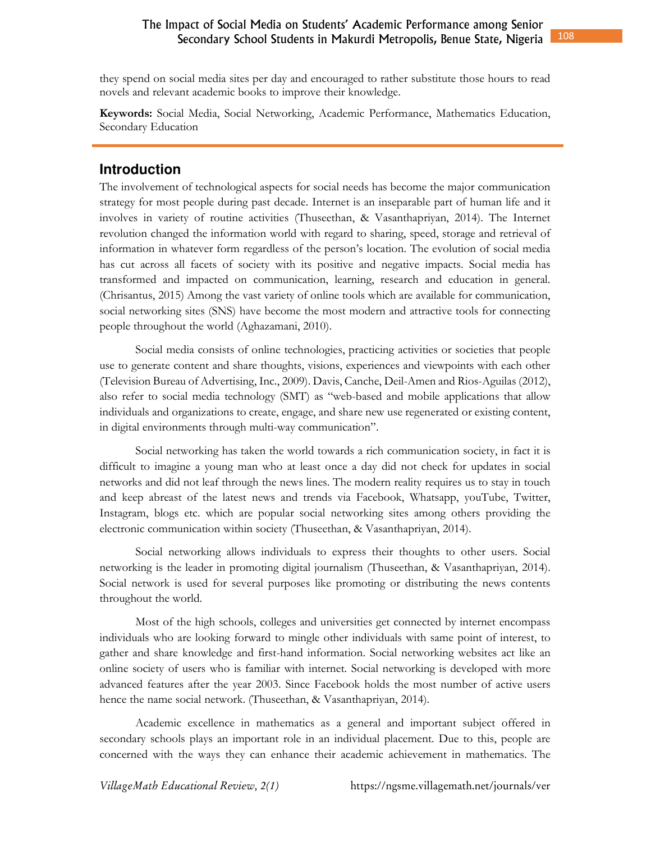they spend on social media sites per day and encouraged to rather substitute those hours to read novels and relevant academic books to improve their knowledge.

**Keywords:** Social Media, Social Networking, Academic Performance, Mathematics Education, Secondary Education

## **Introduction**

The involvement of technological aspects for social needs has become the major communication strategy for most people during past decade. Internet is an inseparable part of human life and it involves in variety of routine activities (Thuseethan, & Vasanthapriyan, 2014). The Internet revolution changed the information world with regard to sharing, speed, storage and retrieval of information in whatever form regardless of the person's location. The evolution of social media has cut across all facets of society with its positive and negative impacts. Social media has transformed and impacted on communication, learning, research and education in general. (Chrisantus, 2015) Among the vast variety of online tools which are available for communication, social networking sites (SNS) have become the most modern and attractive tools for connecting people throughout the world (Aghazamani, 2010).

Social media consists of online technologies, practicing activities or societies that people use to generate content and share thoughts, visions, experiences and viewpoints with each other (Television Bureau of Advertising, Inc., 2009). Davis, Canche, Deil-Amen and Rios-Aguilas (2012), also refer to social media technology (SMT) as "web-based and mobile applications that allow individuals and organizations to create, engage, and share new use regenerated or existing content, in digital environments through multi-way communication".

Social networking has taken the world towards a rich communication society, in fact it is difficult to imagine a young man who at least once a day did not check for updates in social networks and did not leaf through the news lines. The modern reality requires us to stay in touch and keep abreast of the latest news and trends via Facebook, Whatsapp, youTube, Twitter, Instagram, blogs etc. which are popular social networking sites among others providing the electronic communication within society (Thuseethan, & Vasanthapriyan, 2014).

Social networking allows individuals to express their thoughts to other users. Social networking is the leader in promoting digital journalism (Thuseethan, & Vasanthapriyan, 2014). Social network is used for several purposes like promoting or distributing the news contents throughout the world.

Most of the high schools, colleges and universities get connected by internet encompass individuals who are looking forward to mingle other individuals with same point of interest, to gather and share knowledge and first-hand information. Social networking websites act like an online society of users who is familiar with internet. Social networking is developed with more advanced features after the year 2003. Since Facebook holds the most number of active users hence the name social network. (Thuseethan, & Vasanthapriyan, 2014).

Academic excellence in mathematics as a general and important subject offered in secondary schools plays an important role in an individual placement. Due to this, people are concerned with the ways they can enhance their academic achievement in mathematics. The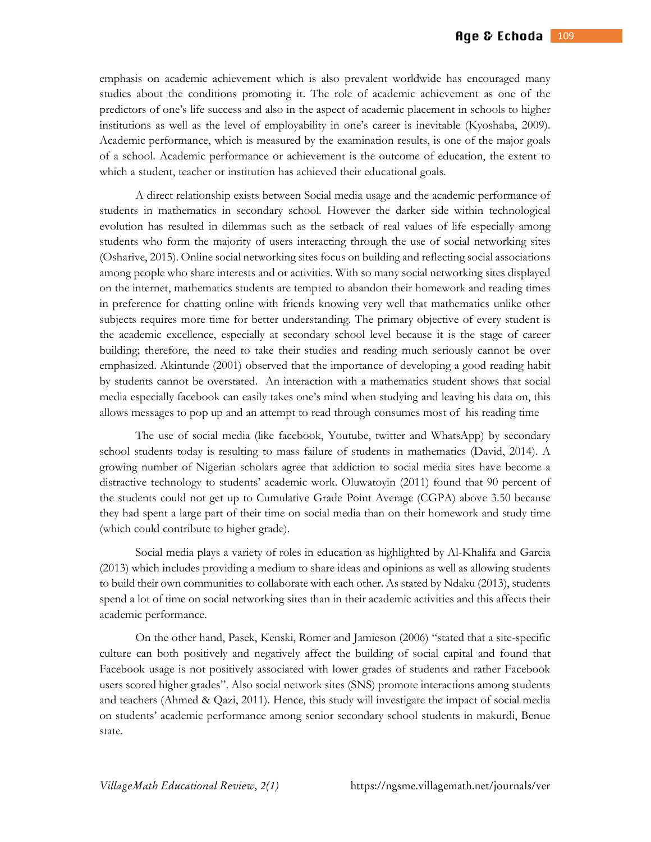emphasis on academic achievement which is also prevalent worldwide has encouraged many studies about the conditions promoting it. The role of academic achievement as one of the predictors of one's life success and also in the aspect of academic placement in schools to higher institutions as well as the level of employability in one's career is inevitable (Kyoshaba, 2009). Academic performance, which is measured by the examination results, is one of the major goals of a school. Academic performance or achievement is the outcome of education, the extent to which a student, teacher or institution has achieved their educational goals.

A direct relationship exists between Social media usage and the academic performance of students in mathematics in secondary school. However the darker side within technological evolution has resulted in dilemmas such as the setback of real values of life especially among students who form the majority of users interacting through the use of social networking sites (Osharive, 2015). Online social networking sites focus on building and reflecting social associations among people who share interests and or activities. With so many social networking sites displayed on the internet, mathematics students are tempted to abandon their homework and reading times in preference for chatting online with friends knowing very well that mathematics unlike other subjects requires more time for better understanding. The primary objective of every student is the academic excellence, especially at secondary school level because it is the stage of career building; therefore, the need to take their studies and reading much seriously cannot be over emphasized. Akintunde (2001) observed that the importance of developing a good reading habit by students cannot be overstated. An interaction with a mathematics student shows that social media especially facebook can easily takes one's mind when studying and leaving his data on, this allows messages to pop up and an attempt to read through consumes most of his reading time

The use of social media (like facebook, Youtube, twitter and WhatsApp) by secondary school students today is resulting to mass failure of students in mathematics (David, 2014). A growing number of Nigerian scholars agree that addiction to social media sites have become a distractive technology to students' academic work. Oluwatoyin (2011) found that 90 percent of the students could not get up to Cumulative Grade Point Average (CGPA) above 3.50 because they had spent a large part of their time on social media than on their homework and study time (which could contribute to higher grade).

Social media plays a variety of roles in education as highlighted by Al-Khalifa and Garcia (2013) which includes providing a medium to share ideas and opinions as well as allowing students to build their own communities to collaborate with each other. As stated by Ndaku (2013), students spend a lot of time on social networking sites than in their academic activities and this affects their academic performance.

On the other hand, Pasek, Kenski, Romer and Jamieson (2006) "stated that a site-specific culture can both positively and negatively affect the building of social capital and found that Facebook usage is not positively associated with lower grades of students and rather Facebook users scored higher grades". Also social network sites (SNS) promote interactions among students and teachers (Ahmed & Qazi, 2011). Hence, this study will investigate the impact of social media on students' academic performance among senior secondary school students in makurdi, Benue state.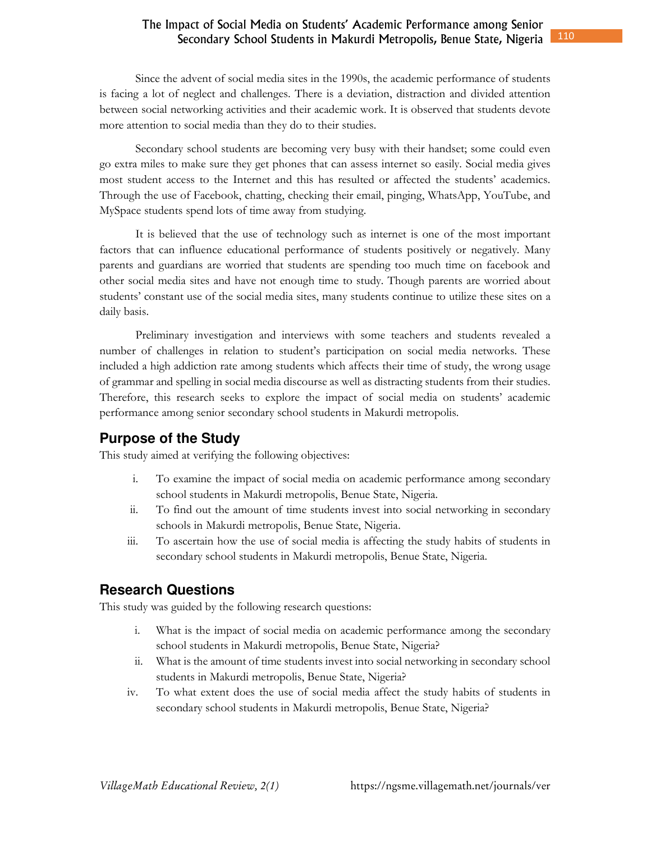#### 110 The Impact of Social Media on Students' Academic Performance among Senior Secondary School Students in Makurdi Metropolis, Benue State, Nigeria

Since the advent of social media sites in the 1990s, the academic performance of students is facing a lot of neglect and challenges. There is a deviation, distraction and divided attention between social networking activities and their academic work. It is observed that students devote more attention to social media than they do to their studies.

Secondary school students are becoming very busy with their handset; some could even go extra miles to make sure they get phones that can assess internet so easily. Social media gives most student access to the Internet and this has resulted or affected the students' academics. Through the use of Facebook, chatting, checking their email, pinging, WhatsApp, YouTube, and MySpace students spend lots of time away from studying.

It is believed that the use of technology such as internet is one of the most important factors that can influence educational performance of students positively or negatively. Many parents and guardians are worried that students are spending too much time on facebook and other social media sites and have not enough time to study. Though parents are worried about students' constant use of the social media sites, many students continue to utilize these sites on a daily basis.

Preliminary investigation and interviews with some teachers and students revealed a number of challenges in relation to student's participation on social media networks. These included a high addiction rate among students which affects their time of study, the wrong usage of grammar and spelling in social media discourse as well as distracting students from their studies. Therefore, this research seeks to explore the impact of social media on students' academic performance among senior secondary school students in Makurdi metropolis.

## **Purpose of the Study**

This study aimed at verifying the following objectives:

- i. To examine the impact of social media on academic performance among secondary school students in Makurdi metropolis, Benue State, Nigeria.
- ii. To find out the amount of time students invest into social networking in secondary schools in Makurdi metropolis, Benue State, Nigeria.
- iii. To ascertain how the use of social media is affecting the study habits of students in secondary school students in Makurdi metropolis, Benue State, Nigeria.

## **Research Questions**

This study was guided by the following research questions:

- i. What is the impact of social media on academic performance among the secondary school students in Makurdi metropolis, Benue State, Nigeria?
- ii. What is the amount of time students invest into social networking in secondary school students in Makurdi metropolis, Benue State, Nigeria?
- iv. To what extent does the use of social media affect the study habits of students in secondary school students in Makurdi metropolis, Benue State, Nigeria?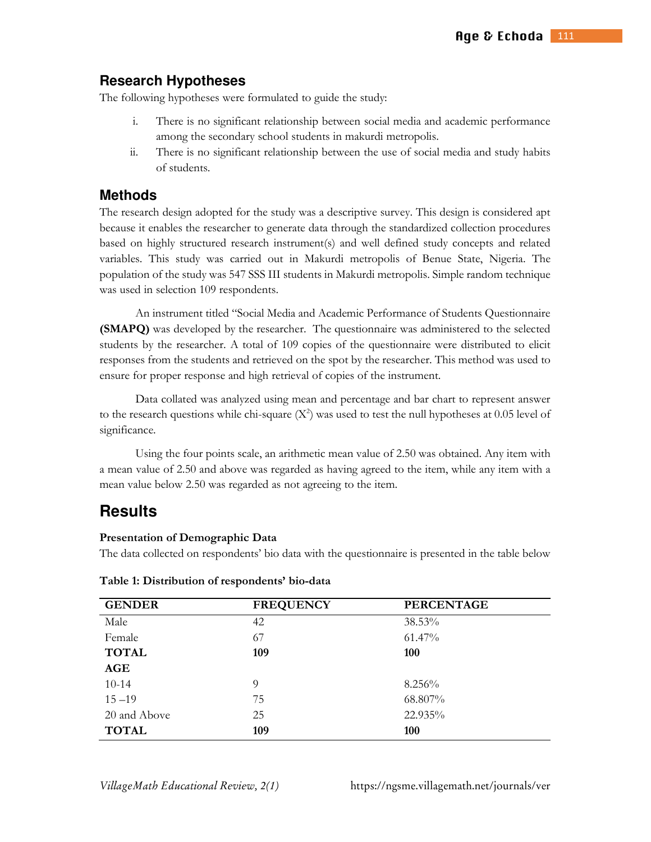## **Research Hypotheses**

The following hypotheses were formulated to guide the study:

- i. There is no significant relationship between social media and academic performance among the secondary school students in makurdi metropolis.
- ii. There is no significant relationship between the use of social media and study habits of students.

## **Methods**

The research design adopted for the study was a descriptive survey. This design is considered apt because it enables the researcher to generate data through the standardized collection procedures based on highly structured research instrument(s) and well defined study concepts and related variables. This study was carried out in Makurdi metropolis of Benue State, Nigeria. The population of the study was 547 SSS III students in Makurdi metropolis. Simple random technique was used in selection 109 respondents.

An instrument titled "Social Media and Academic Performance of Students Questionnaire **(SMAPQ)** was developed by the researcher. The questionnaire was administered to the selected students by the researcher. A total of 109 copies of the questionnaire were distributed to elicit responses from the students and retrieved on the spot by the researcher. This method was used to ensure for proper response and high retrieval of copies of the instrument.

Data collated was analyzed using mean and percentage and bar chart to represent answer to the research questions while chi-square  $(X^2)$  was used to test the null hypotheses at 0.05 level of significance.

Using the four points scale, an arithmetic mean value of 2.50 was obtained. Any item with a mean value of 2.50 and above was regarded as having agreed to the item, while any item with a mean value below 2.50 was regarded as not agreeing to the item.

## **Results**

#### **Presentation of Demographic Data**

The data collected on respondents' bio data with the questionnaire is presented in the table below

| <b>GENDER</b> | <b>FREQUENCY</b> | <b>PERCENTAGE</b> |
|---------------|------------------|-------------------|
| Male          | 42               | 38.53%            |
| Female        | 67               | $61.47\%$         |
| <b>TOTAL</b>  | 109              | <b>100</b>        |
| AGE           |                  |                   |
| $10 - 14$     | 9                | 8.256%            |
| $15 - 19$     | 75               | 68.807%           |
| 20 and Above  | 25               | 22.935%           |
| <b>TOTAL</b>  | 109              | 100               |

**Table 1: Distribution of respondents' bio-data** 

*VillageMath Educational Review, 2(1)* https://ngsme.villagemath.net/journals/ver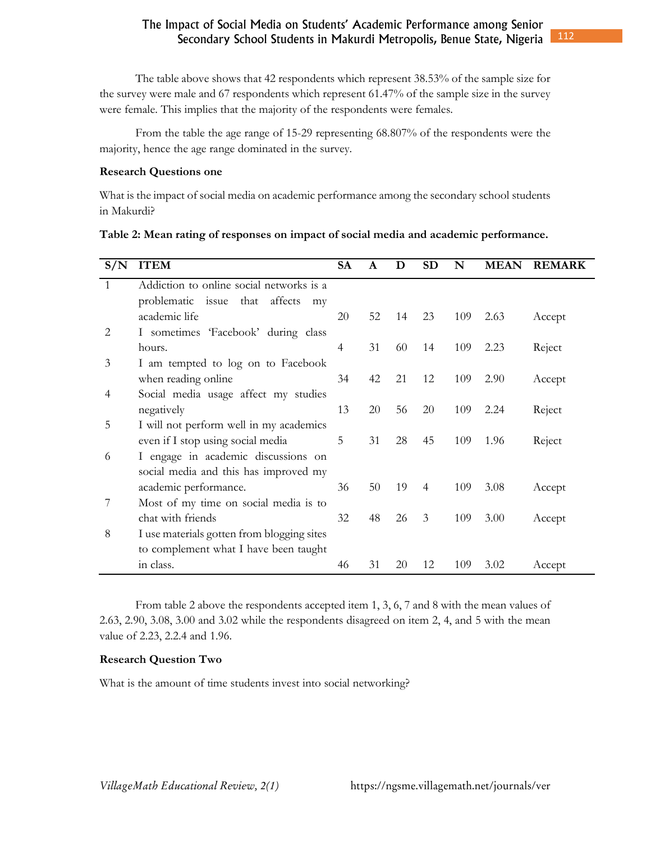The table above shows that 42 respondents which represent 38.53% of the sample size for the survey were male and 67 respondents which represent 61.47% of the sample size in the survey were female. This implies that the majority of the respondents were females.

From the table the age range of 15-29 representing 68.807% of the respondents were the majority, hence the age range dominated in the survey.

#### **Research Questions one**

What is the impact of social media on academic performance among the secondary school students in Makurdi?

| S/N          | <b>ITEM</b>                                | <b>SA</b> | A  | D  | <b>SD</b> | N   | <b>MEAN</b> | <b>REMARK</b> |
|--------------|--------------------------------------------|-----------|----|----|-----------|-----|-------------|---------------|
| $\mathbf{1}$ | Addiction to online social networks is a   |           |    |    |           |     |             |               |
|              | problematic issue that<br>affects<br>mv    |           |    |    |           |     |             |               |
|              | academic life                              | 20        | 52 | 14 | 23        | 109 | 2.63        | Accept        |
| 2            | I sometimes 'Facebook' during class        |           |    |    |           |     |             |               |
|              | hours.                                     | 4         | 31 | 60 | 14        | 109 | 2.23        | Reject        |
| 3            | I am tempted to log on to Facebook         |           |    |    |           |     |             |               |
|              | when reading online                        | 34        | 42 | 21 | 12        | 109 | 2.90        | Accept        |
| 4            | Social media usage affect my studies       |           |    |    |           |     |             |               |
|              | negatively                                 | 13        | 20 | 56 | 20        | 109 | 2.24        | Reject        |
| 5            | I will not perform well in my academics    |           |    |    |           |     |             |               |
|              | even if I stop using social media          | 5         | 31 | 28 | 45        | 109 | 1.96        | Reject        |
| 6            | I engage in academic discussions on        |           |    |    |           |     |             |               |
|              | social media and this has improved my      |           |    |    |           |     |             |               |
|              | academic performance.                      | 36        | 50 | 19 | 4         | 109 | 3.08        | Accept        |
| 7            | Most of my time on social media is to      |           |    |    |           |     |             |               |
|              | chat with friends                          | 32        | 48 | 26 | 3         | 109 | 3.00        | Accept        |
| 8            | I use materials gotten from blogging sites |           |    |    |           |     |             |               |
|              | to complement what I have been taught      |           |    |    |           |     |             |               |
|              | in class.                                  | 46        | 31 | 20 | 12        | 109 | 3.02        | Accept        |

From table 2 above the respondents accepted item 1, 3, 6, 7 and 8 with the mean values of 2.63, 2.90, 3.08, 3.00 and 3.02 while the respondents disagreed on item 2, 4, and 5 with the mean value of 2.23, 2.2.4 and 1.96.

### **Research Question Two**

What is the amount of time students invest into social networking?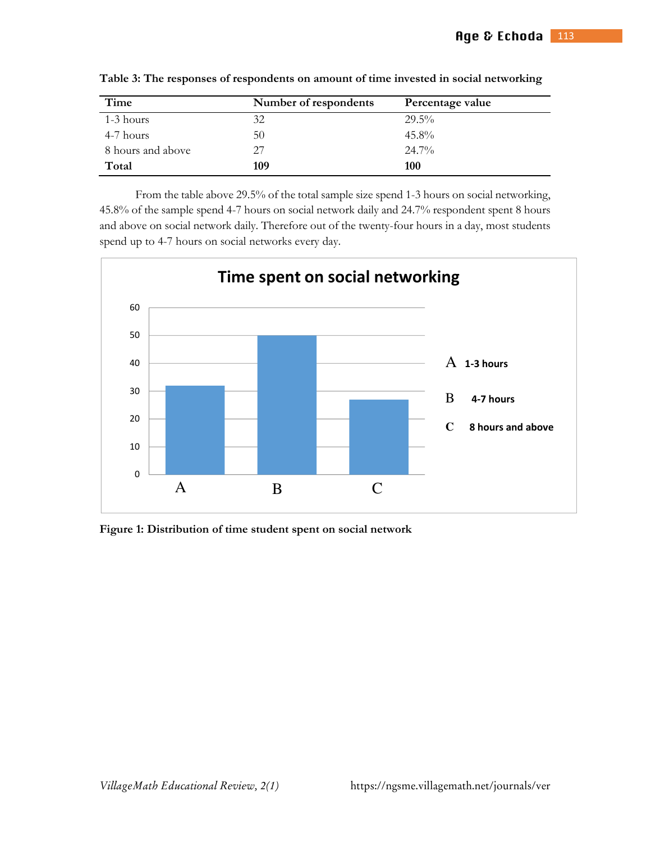| Time              | Number of respondents | Percentage value |
|-------------------|-----------------------|------------------|
| 1-3 hours         | 32                    | $29.5\%$         |
| 4-7 hours         | 50                    | $45.8\%$         |
| 8 hours and above | 27                    | $24.7\%$         |
| Total             | 109                   | 100              |

**Table 3: The responses of respondents on amount of time invested in social networking** 

From the table above 29.5% of the total sample size spend 1-3 hours on social networking, 45.8% of the sample spend 4-7 hours on social network daily and 24.7% respondent spent 8 hours and above on social network daily. Therefore out of the twenty-four hours in a day, most students spend up to 4-7 hours on social networks every day.



**Figure 1: Distribution of time student spent on social network**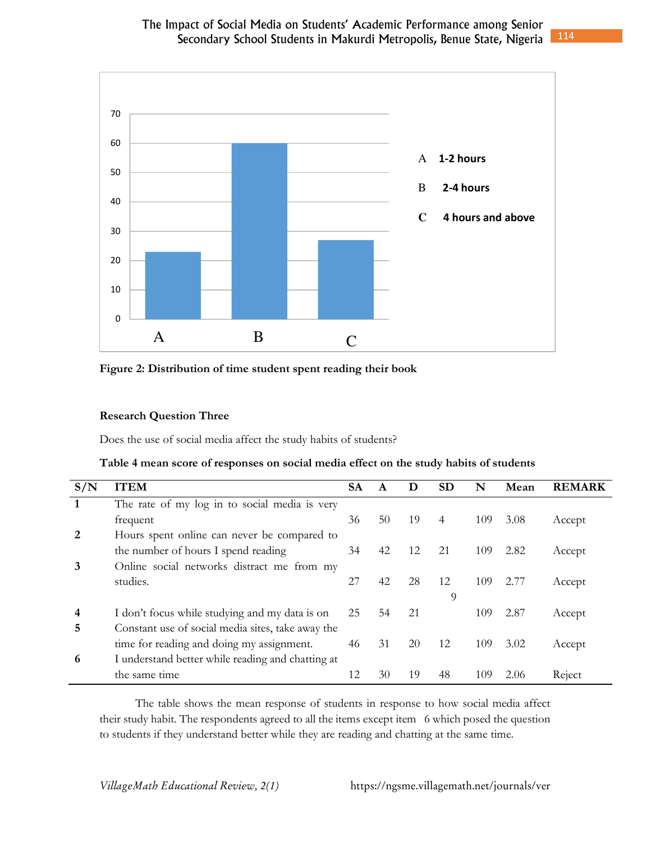

**Figure 2: Distribution of time student spent reading their book** 

## **Research Question Three**

Does the use of social media affect the study habits of students?

| Table 4 mean score of responses on social media effect on the study habits of students |  |  |
|----------------------------------------------------------------------------------------|--|--|
|----------------------------------------------------------------------------------------|--|--|

| S/N | <b>ITEM</b>                                       | <b>SA</b> |    | Ð  | <b>SD</b> | N   | Mean | <b>REMARK</b> |
|-----|---------------------------------------------------|-----------|----|----|-----------|-----|------|---------------|
|     | The rate of my log in to social media is very     |           |    |    |           |     |      |               |
|     | frequent                                          | 36        | 50 | 19 | 4         | 109 | 3.08 | Accept        |
| 2   | Hours spent online can never be compared to       |           |    |    |           |     |      |               |
|     | the number of hours I spend reading               | 34        | 42 | 12 | 21        | 109 | 2.82 | Accept        |
| 3   | Online social networks distract me from my        |           |    |    |           |     |      |               |
|     | studies.                                          | 27        | 42 | 28 | 12        | 109 | 2.77 | Accept        |
|     |                                                   |           |    |    | 9         |     |      |               |
| 4   | I don't focus while studying and my data is on    | 25        | 54 | 21 |           | 109 | 2.87 | Accept        |
| 5   | Constant use of social media sites, take away the |           |    |    |           |     |      |               |
|     | time for reading and doing my assignment.         | 46        | 31 | 20 | 12        | 109 | 3.02 | Accept        |
| 6   | I understand better while reading and chatting at |           |    |    |           |     |      |               |
|     | the same time                                     |           | 30 | 19 | 48        | 109 | 2.06 | Reject        |

The table shows the mean response of students in response to how social media affect their study habit. The respondents agreed to all the items except item 6 which posed the question to students if they understand better while they are reading and chatting at the same time.

*VillageMath Educational Review, 2(1)* https://ngsme.villagemath.net/journals/ver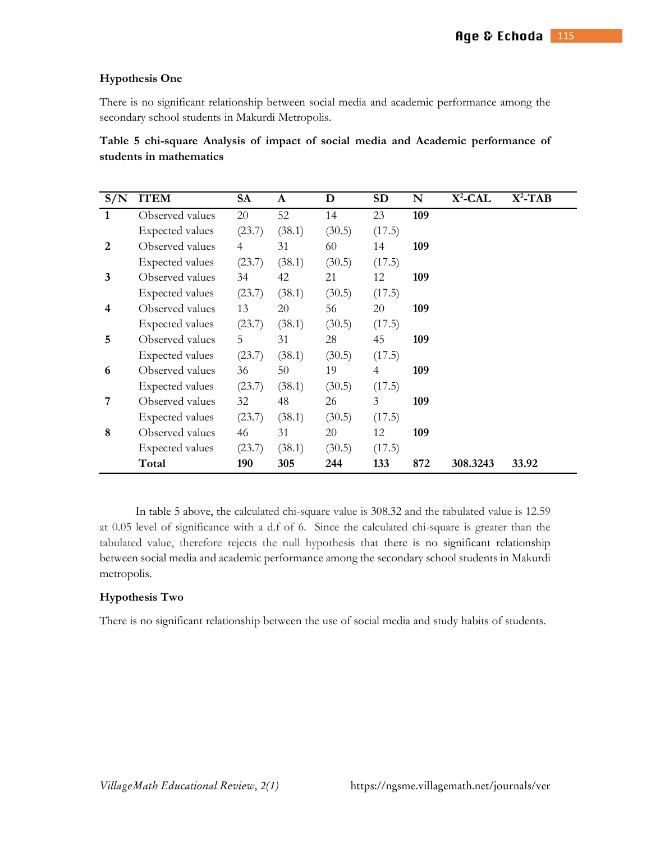### **Hypothesis One**

There is no significant relationship between social media and academic performance among the secondary school students in Makurdi Metropolis.

**Table 5 chi-square Analysis of impact of social media and Academic performance of students in mathematics**

| S/N            | <b>ITEM</b>            | <b>SA</b> | A      | D      | <b>SD</b>      | N   | $X^2$ -CAL | $X^2$ -TAB |
|----------------|------------------------|-----------|--------|--------|----------------|-----|------------|------------|
| $\mathbf{1}$   | Observed values        | 20        | 52     | 14     | 23             | 109 |            |            |
|                | Expected values        | (23.7)    | (38.1) | (30.5) | (17.5)         |     |            |            |
| 2              | Observed values        | 4         | 31     | 60     | 14             | 109 |            |            |
|                | Expected values        | (23.7)    | (38.1) | (30.5) | (17.5)         |     |            |            |
| 3              | Observed values        | 34        | 42     | 21     | 12             | 109 |            |            |
|                | Expected values        | (23.7)    | (38.1) | (30.5) | (17.5)         |     |            |            |
| 4              | Observed values        | 13        | 20     | 56     | 20             | 109 |            |            |
|                | Expected values        | (23.7)    | (38.1) | (30.5) | (17.5)         |     |            |            |
| 5              | Observed values        | 5         | 31     | 28     | 45             | 109 |            |            |
|                | <b>Expected values</b> | (23.7)    | (38.1) | (30.5) | (17.5)         |     |            |            |
| 6              | Observed values        | 36        | 50     | 19     | $\overline{4}$ | 109 |            |            |
|                | <b>Expected values</b> | (23.7)    | (38.1) | (30.5) | (17.5)         |     |            |            |
| $\overline{7}$ | Observed values        | 32        | 48     | 26     | 3              | 109 |            |            |
|                | Expected values        | (23.7)    | (38.1) | (30.5) | (17.5)         |     |            |            |
| 8              | Observed values        | 46        | 31     | 20     | 12             | 109 |            |            |
|                | Expected values        | (23.7)    | (38.1) | (30.5) | (17.5)         |     |            |            |
|                | Total                  | 190       | 305    | 244    | 133            | 872 | 308.3243   | 33.92      |

In table 5 above, the calculated chi-square value is 308.32 and the tabulated value is 12.59 at 0.05 level of significance with a d.f of 6.Since the calculated chi-square is greater than the tabulated value, therefore rejects the null hypothesis that there is no significant relationship between social media and academic performance among the secondary school students in Makurdi metropolis.

## **Hypothesis Two**

There is no significant relationship between the use of social media and study habits of students.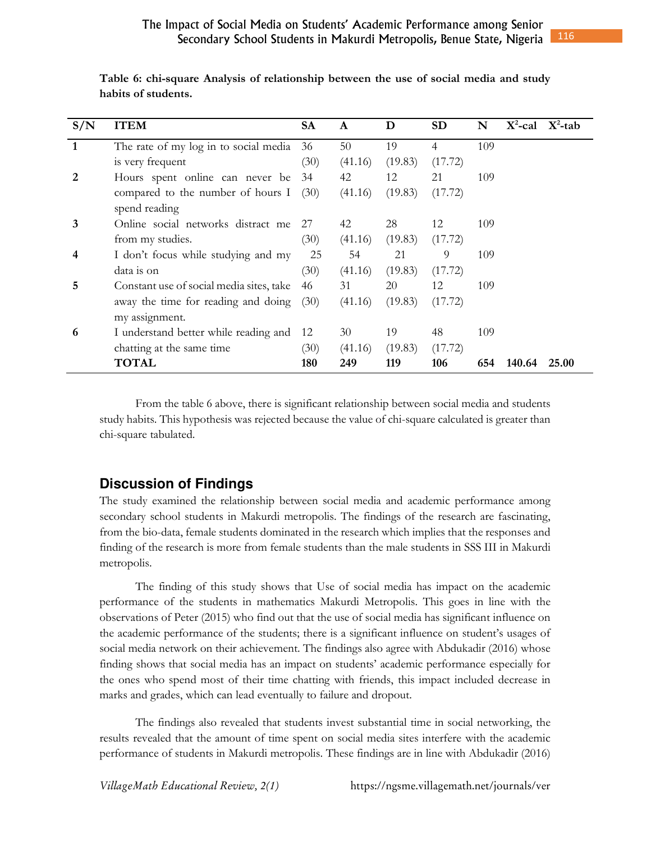| S/N | <b>ITEM</b>                              | <b>SA</b> | A       | D       | <b>SD</b>      | N   | $X^2$ -cal | $X^2$ -tab |
|-----|------------------------------------------|-----------|---------|---------|----------------|-----|------------|------------|
| 1   | The rate of my log in to social media    | 36        | 50      | 19      | $\overline{4}$ | 109 |            |            |
|     | is very frequent                         | (30)      | (41.16) | (19.83) | (17.72)        |     |            |            |
| 2   | Hours spent online can never be          | 34        | 42      | 12      | 21             | 109 |            |            |
|     | compared to the number of hours $I(30)$  |           | (41.16) | (19.83) | (17.72)        |     |            |            |
|     | spend reading                            |           |         |         |                |     |            |            |
| 3   | Online social networks distract me       | 27        | 42      | 28      | 12             | 109 |            |            |
|     | from my studies.                         | (30)      | (41.16) | (19.83) | (17.72)        |     |            |            |
| 4   | I don't focus while studying and my      | 25        | 54      | 21      | 9              | 109 |            |            |
|     | data is on                               | (30)      | (41.16) | (19.83) | (17.72)        |     |            |            |
| 5   | Constant use of social media sites, take | 46        | 31      | 20      | 12             | 109 |            |            |
|     | away the time for reading and doing      | (30)      | (41.16) | (19.83) | (17.72)        |     |            |            |
|     | my assignment.                           |           |         |         |                |     |            |            |
| 6   | I understand better while reading and    | 12        | 30      | 19      | 48             | 109 |            |            |
|     | chatting at the same time                | (30)      | (41.16) | (19.83) | (17.72)        |     |            |            |
|     | <b>TOTAL</b>                             | 180       | 249     | 119     | 106            | 654 | 140.64     | 25.00      |

**Table 6: chi-square Analysis of relationship between the use of social media and study habits of students.** 

From the table 6 above, there is significant relationship between social media and students study habits. This hypothesis was rejected because the value of chi-square calculated is greater than chi-square tabulated.

## **Discussion of Findings**

The study examined the relationship between social media and academic performance among secondary school students in Makurdi metropolis. The findings of the research are fascinating, from the bio-data, female students dominated in the research which implies that the responses and finding of the research is more from female students than the male students in SSS III in Makurdi metropolis.

The finding of this study shows that Use of social media has impact on the academic performance of the students in mathematics Makurdi Metropolis. This goes in line with the observations of Peter (2015) who find out that the use of social media has significant influence on the academic performance of the students; there is a significant influence on student's usages of social media network on their achievement. The findings also agree with Abdukadir (2016) whose finding shows that social media has an impact on students' academic performance especially for the ones who spend most of their time chatting with friends, this impact included decrease in marks and grades, which can lead eventually to failure and dropout.

The findings also revealed that students invest substantial time in social networking, the results revealed that the amount of time spent on social media sites interfere with the academic performance of students in Makurdi metropolis. These findings are in line with Abdukadir (2016)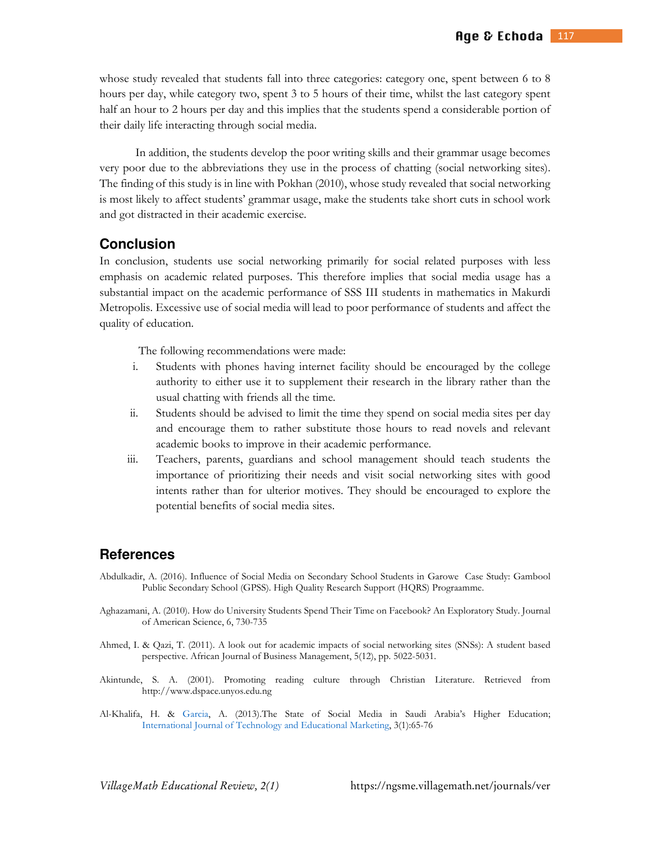whose study revealed that students fall into three categories: category one, spent between 6 to 8 hours per day, while category two, spent 3 to 5 hours of their time, whilst the last category spent half an hour to 2 hours per day and this implies that the students spend a considerable portion of their daily life interacting through social media.

In addition, the students develop the poor writing skills and their grammar usage becomes very poor due to the abbreviations they use in the process of chatting (social networking sites). The finding of this study is in line with Pokhan (2010), whose study revealed that social networking is most likely to affect students' grammar usage, make the students take short cuts in school work and got distracted in their academic exercise.

## **Conclusion**

In conclusion, students use social networking primarily for social related purposes with less emphasis on academic related purposes. This therefore implies that social media usage has a substantial impact on the academic performance of SSS III students in mathematics in Makurdi Metropolis. Excessive use of social media will lead to poor performance of students and affect the quality of education.

The following recommendations were made:

- i. Students with phones having internet facility should be encouraged by the college authority to either use it to supplement their research in the library rather than the usual chatting with friends all the time.
- ii. Students should be advised to limit the time they spend on social media sites per day and encourage them to rather substitute those hours to read novels and relevant academic books to improve in their academic performance.
- iii. Teachers, parents, guardians and school management should teach students the importance of prioritizing their needs and visit social networking sites with good intents rather than for ulterior motives. They should be encouraged to explore the potential benefits of social media sites.

## **References**

- Abdulkadir, A. (2016). Influence of Social Media on Secondary School Students in Garowe Case Study: Gambool Public Secondary School (GPSS). High Quality Research Support (HQRS) Prograamme.
- Aghazamani, A. (2010). How do University Students Spend Their Time on Facebook? An Exploratory Study. Journal of American Science, 6, 730-735
- Ahmed, I. & Qazi, T. (2011). A look out for academic impacts of social networking sites (SNSs): A student based perspective. African Journal of Business Management, 5(12), pp. 5022-5031.
- Akintunde, S. A. (2001). Promoting reading culture through Christian Literature. Retrieved from http://www.dspace.unyos.edu.ng
- Al-Khalifa, H. & Garcia, A. (2013).The State of Social Media in Saudi Arabia's Higher Education; International Journal of Technology and Educational Marketing, 3(1):65-76